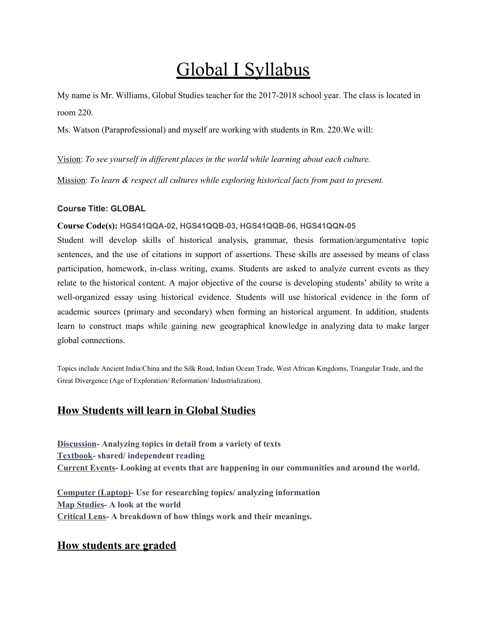# Global I Syllabus

My name is Mr. Williams, Global Studies teacher for the 2017-2018 school year. The class is located in room 220.

Ms. Watson (Paraprofessional) and myself are working with students in Rm. 220.We will:

Vision: *To see yourself in dif erent places in the world while learning about each culture.*

Mission: *To learn & respect all cultures while exploring historical facts from past to present.*

#### **Course Title: GLOBAL**

#### **Course Code(s): HGS41QQA-02, HGS41QQB-03, HGS41QQB-06, HGS41QQN-05**

Student will develop skills of historical analysis, grammar, thesis formation/argumentative topic sentences, and the use of citations in support of assertions. These skills are assessed by means of class participation, homework, in-class writing, exams. Students are asked to analyze current events as they relate to the historical content. A major objective of the course is developing students' ability to write a well-organized essay using historical evidence. Students will use historical evidence in the form of academic sources (primary and secondary) when forming an historical argument. In addition, students learn to construct maps while gaining new geographical knowledge in analyzing data to make larger global connections.

Topics include Ancient India/China and the Silk Road, Indian Ocean Trade, West African Kingdoms, Triangular Trade, and the Great Divergence (Age of Exploration/ Reformation/ Industrialization).

# **How Students will learn in Global Studies**

**Discussion- Analyzing topics in detail from a variety of texts Textbook- shared/ independent reading Current Events- Looking at events that are happening in our communities and around the world.**

**Computer (Laptop)- Use for researching topics/ analyzing information Map Studies- A look at the world Critical Lens- A breakdown of how things work and their meanings.**

# **How students are graded**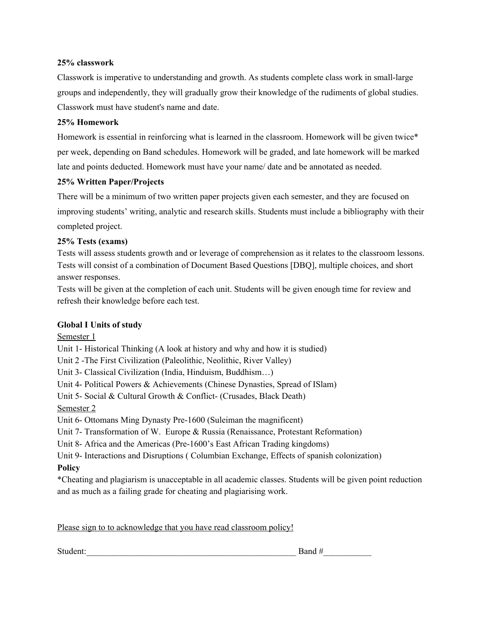#### **25% classwork**

Classwork is imperative to understanding and growth. As students complete class work in small-large groups and independently, they will gradually grow their knowledge of the rudiments of global studies. Classwork must have student's name and date.

#### **25% Homework**

Homework is essential in reinforcing what is learned in the classroom. Homework will be given twice\* per week, depending on Band schedules. Homework will be graded, and late homework will be marked late and points deducted. Homework must have your name/ date and be annotated as needed.

#### **25% Written Paper/Projects**

There will be a minimum of two written paper projects given each semester, and they are focused on improving students' writing, analytic and research skills. Students must include a bibliography with their completed project.

#### **25% Tests (exams)**

Tests will assess students growth and or leverage of comprehension as it relates to the classroom lessons. Tests will consist of a combination of Document Based Questions [DBQ], multiple choices, and short answer responses.

Tests will be given at the completion of each unit. Students will be given enough time for review and refresh their knowledge before each test.

## **Global I Units of study**

Semester 1

Unit 1- Historical Thinking (A look at history and why and how it is studied)

Unit 2 -The First Civilization (Paleolithic, Neolithic, River Valley)

Unit 3- Classical Civilization (India, Hinduism, Buddhism…)

Unit 4- Political Powers & Achievements (Chinese Dynasties, Spread of ISlam)

Unit 5- Social & Cultural Growth & Conflict- (Crusades, Black Death)

Semester 2

Unit 6- Ottomans Ming Dynasty Pre-1600 (Suleiman the magnificent)

Unit 7- Transformation of W. Europe & Russia (Renaissance, Protestant Reformation)

Unit 8- Africa and the Americas (Pre-1600's East African Trading kingdoms)

Unit 9- Interactions and Disruptions ( Columbian Exchange, Effects of spanish colonization)

## **Policy**

\*Cheating and plagiarism is unacceptable in all academic classes. Students will be given point reduction and as much as a failing grade for cheating and plagiarising work.

Please sign to to acknowledge that you have read classroom policy!